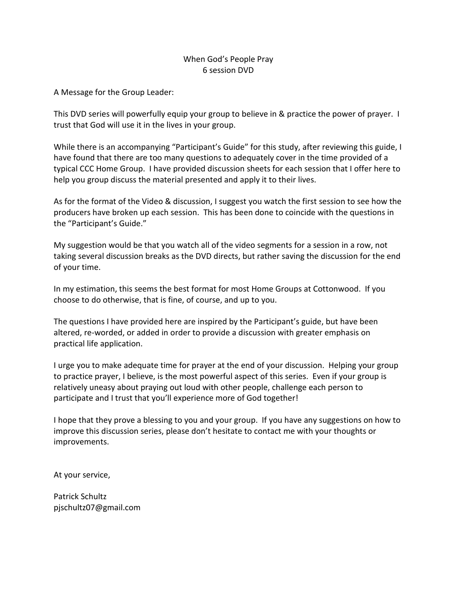## When God's People Pray 6 session DVD

A Message for the Group Leader:

This DVD series will powerfully equip your group to believe in & practice the power of prayer. I trust that God will use it in the lives in your group.

While there is an accompanying "Participant's Guide" for this study, after reviewing this guide, I have found that there are too many questions to adequately cover in the time provided of a typical CCC Home Group. I have provided discussion sheets for each session that I offer here to help you group discuss the material presented and apply it to their lives.

As for the format of the Video & discussion, I suggest you watch the first session to see how the producers have broken up each session. This has been done to coincide with the questions in the "Participant's Guide."

My suggestion would be that you watch all of the video segments for a session in a row, not taking several discussion breaks as the DVD directs, but rather saving the discussion for the end of your time.

In my estimation, this seems the best format for most Home Groups at Cottonwood. If you choose to do otherwise, that is fine, of course, and up to you.

The questions I have provided here are inspired by the Participant's guide, but have been altered, re-worded, or added in order to provide a discussion with greater emphasis on practical life application.

I urge you to make adequate time for prayer at the end of your discussion. Helping your group to practice prayer, I believe, is the most powerful aspect of this series. Even if your group is relatively uneasy about praying out loud with other people, challenge each person to participate and I trust that you'll experience more of God together!

I hope that they prove a blessing to you and your group. If you have any suggestions on how to improve this discussion series, please don't hesitate to contact me with your thoughts or improvements.

At your service,

Patrick Schultz pjschultz07@gmail.com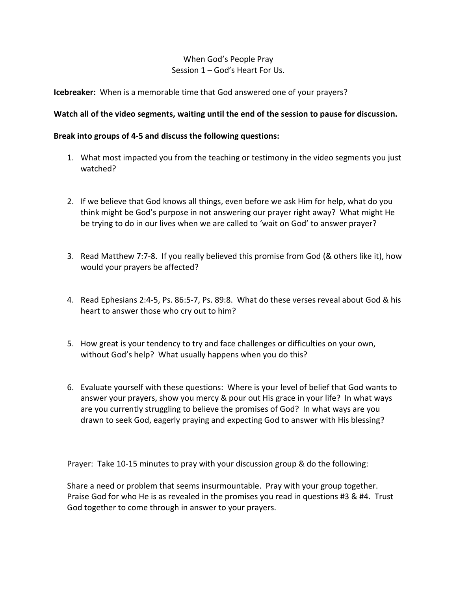# When God's People Pray Session 1 – God's Heart For Us.

## **Icebreaker:** When is a memorable time that God answered one of your prayers?

### **Watch all of the video segments, waiting until the end of the session to pause for discussion.**

#### **Break into groups of 4-5 and discuss the following questions:**

- 1. What most impacted you from the teaching or testimony in the video segments you just watched?
- 2. If we believe that God knows all things, even before we ask Him for help, what do you think might be God's purpose in not answering our prayer right away? What might He be trying to do in our lives when we are called to 'wait on God' to answer prayer?
- 3. Read Matthew 7:7-8. If you really believed this promise from God (& others like it), how would your prayers be affected?
- 4. Read Ephesians 2:4-5, Ps. 86:5-7, Ps. 89:8. What do these verses reveal about God & his heart to answer those who cry out to him?
- 5. How great is your tendency to try and face challenges or difficulties on your own, without God's help? What usually happens when you do this?
- 6. Evaluate yourself with these questions: Where is your level of belief that God wants to answer your prayers, show you mercy & pour out His grace in your life? In what ways are you currently struggling to believe the promises of God? In what ways are you drawn to seek God, eagerly praying and expecting God to answer with His blessing?

Prayer: Take 10-15 minutes to pray with your discussion group & do the following:

Share a need or problem that seems insurmountable. Pray with your group together. Praise God for who He is as revealed in the promises you read in questions #3 & #4. Trust God together to come through in answer to your prayers.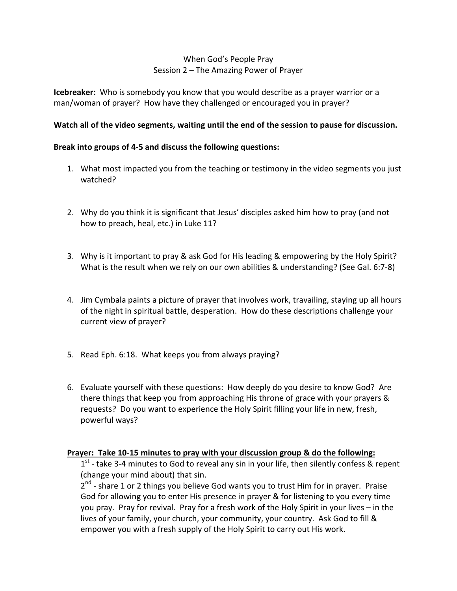# When God's People Pray Session 2 – The Amazing Power of Prayer

**Icebreaker:** Who is somebody you know that you would describe as a prayer warrior or a man/woman of prayer? How have they challenged or encouraged you in prayer?

### **Watch all of the video segments, waiting until the end of the session to pause for discussion.**

### **Break into groups of 4-5 and discuss the following questions:**

- 1. What most impacted you from the teaching or testimony in the video segments you just watched?
- 2. Why do you think it is significant that Jesus' disciples asked him how to pray (and not how to preach, heal, etc.) in Luke 11?
- 3. Why is it important to pray & ask God for His leading & empowering by the Holy Spirit? What is the result when we rely on our own abilities & understanding? (See Gal. 6:7-8)
- 4. Jim Cymbala paints a picture of prayer that involves work, travailing, staying up all hours of the night in spiritual battle, desperation. How do these descriptions challenge your current view of prayer?
- 5. Read Eph. 6:18. What keeps you from always praying?
- 6. Evaluate yourself with these questions: How deeply do you desire to know God? Are there things that keep you from approaching His throne of grace with your prayers & requests? Do you want to experience the Holy Spirit filling your life in new, fresh, powerful ways?

### **Prayer: Take 10-15 minutes to pray with your discussion group & do the following:**

 $1<sup>st</sup>$  - take 3-4 minutes to God to reveal any sin in your life, then silently confess & repent (change your mind about) that sin.

2<sup>nd</sup> - share 1 or 2 things you believe God wants you to trust Him for in prayer. Praise God for allowing you to enter His presence in prayer & for listening to you every time you pray. Pray for revival. Pray for a fresh work of the Holy Spirit in your lives – in the lives of your family, your church, your community, your country. Ask God to fill & empower you with a fresh supply of the Holy Spirit to carry out His work.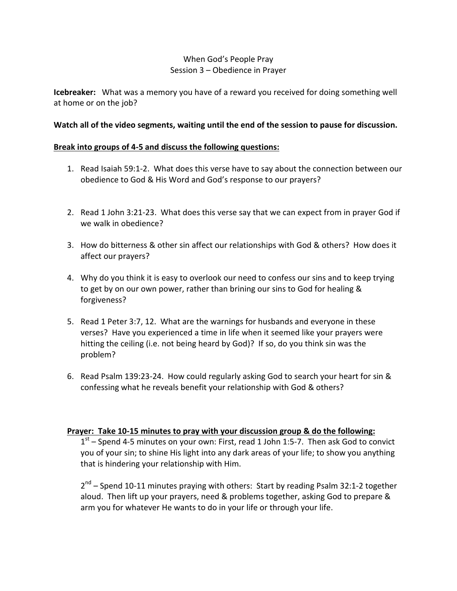# When God's People Pray Session 3 – Obedience in Prayer

**Icebreaker:** What was a memory you have of a reward you received for doing something well at home or on the job?

### **Watch all of the video segments, waiting until the end of the session to pause for discussion.**

## **Break into groups of 4-5 and discuss the following questions:**

- 1. Read Isaiah 59:1-2. What does this verse have to say about the connection between our obedience to God & His Word and God's response to our prayers?
- 2. Read 1 John 3:21-23. What does this verse say that we can expect from in prayer God if we walk in obedience?
- 3. How do bitterness & other sin affect our relationships with God & others? How does it affect our prayers?
- 4. Why do you think it is easy to overlook our need to confess our sins and to keep trying to get by on our own power, rather than brining our sins to God for healing & forgiveness?
- 5. Read 1 Peter 3:7, 12. What are the warnings for husbands and everyone in these verses? Have you experienced a time in life when it seemed like your prayers were hitting the ceiling (i.e. not being heard by God)? If so, do you think sin was the problem?
- 6. Read Psalm 139:23-24. How could regularly asking God to search your heart for sin & confessing what he reveals benefit your relationship with God & others?

### **Prayer: Take 10-15 minutes to pray with your discussion group & do the following:**

 $1<sup>st</sup>$  – Spend 4-5 minutes on your own: First, read 1 John 1:5-7. Then ask God to convict you of your sin; to shine His light into any dark areas of your life; to show you anything that is hindering your relationship with Him.

2<sup>nd</sup> – Spend 10-11 minutes praying with others: Start by reading Psalm 32:1-2 together aloud. Then lift up your prayers, need & problems together, asking God to prepare & arm you for whatever He wants to do in your life or through your life.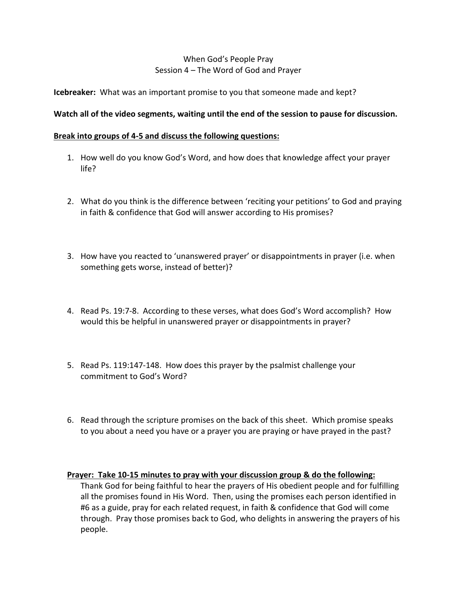# When God's People Pray Session 4 – The Word of God and Prayer

**Icebreaker:** What was an important promise to you that someone made and kept?

### **Watch all of the video segments, waiting until the end of the session to pause for discussion.**

### **Break into groups of 4-5 and discuss the following questions:**

- 1. How well do you know God's Word, and how does that knowledge affect your prayer life?
- 2. What do you think is the difference between 'reciting your petitions' to God and praying in faith & confidence that God will answer according to His promises?
- 3. How have you reacted to 'unanswered prayer' or disappointments in prayer (i.e. when something gets worse, instead of better)?
- 4. Read Ps. 19:7-8. According to these verses, what does God's Word accomplish? How would this be helpful in unanswered prayer or disappointments in prayer?
- 5. Read Ps. 119:147-148. How does this prayer by the psalmist challenge your commitment to God's Word?
- 6. Read through the scripture promises on the back of this sheet. Which promise speaks to you about a need you have or a prayer you are praying or have prayed in the past?

#### **Prayer: Take 10-15 minutes to pray with your discussion group & do the following:**

Thank God for being faithful to hear the prayers of His obedient people and for fulfilling all the promises found in His Word. Then, using the promises each person identified in #6 as a guide, pray for each related request, in faith & confidence that God will come through. Pray those promises back to God, who delights in answering the prayers of his people.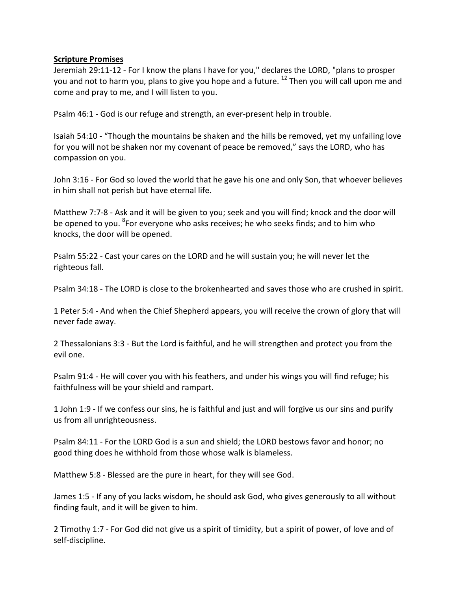#### **Scripture Promises**

Jeremiah 29:11-12 - For I know the plans I have for you," declares the LORD, "plans to prosper you and not to harm you, plans to give you hope and a future. <sup>12</sup> Then you will call upon me and come and pray to me, and I will listen to you.

Psalm 46:1 - God is our refuge and strength, an ever-present help in trouble.

Isaiah 54:10 - "Though the mountains be shaken and the hills be removed, yet my unfailing love for you will not be shaken nor my covenant of peace be removed," says the LORD, who has compassion on you.

John 3:16 - For God so loved the world that he gave his one and only Son, that whoever believes in him shall not perish but have eternal life.

Matthew 7:7-8 - Ask and it will be given to you; seek and you will find; knock and the door will be opened to you. <sup>8</sup>For everyone who asks receives; he who seeks finds; and to him who knocks, the door will be opened.

Psalm 55:22 - Cast your cares on the LORD and he will sustain you; he will never let the righteous fall.

Psalm 34:18 - The LORD is close to the brokenhearted and saves those who are crushed in spirit.

1 Peter 5:4 - And when the Chief Shepherd appears, you will receive the crown of glory that will never fade away.

2 Thessalonians 3:3 - But the Lord is faithful, and he will strengthen and protect you from the evil one.

Psalm 91:4 - He will cover you with his feathers, and under his wings you will find refuge; his faithfulness will be your shield and rampart.

1 John 1:9 - If we confess our sins, he is faithful and just and will forgive us our sins and purify us from all unrighteousness.

Psalm 84:11 - For the LORD God is a sun and shield; the LORD bestows favor and honor; no good thing does he withhold from those whose walk is blameless.

Matthew 5:8 - Blessed are the pure in heart, for they will see God.

James 1:5 - If any of you lacks wisdom, he should ask God, who gives generously to all without finding fault, and it will be given to him.

2 Timothy 1:7 - For God did not give us a spirit of timidity, but a spirit of power, of love and of self-discipline.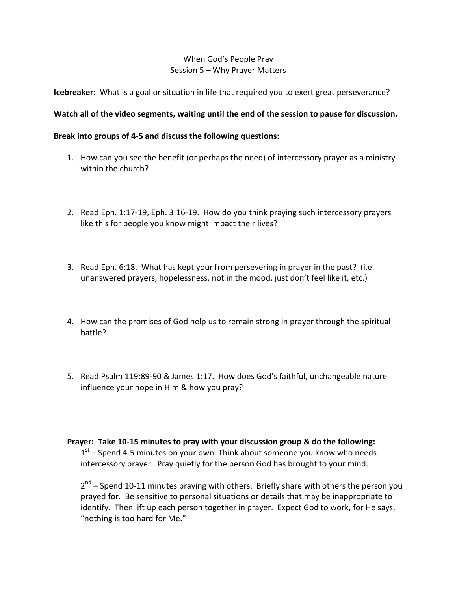## When God's People Pray Session 5 – Why Prayer Matters

**Icebreaker:** What is a goal or situation in life that required you to exert great perseverance?

## **Watch all of the video segments, waiting until the end of the session to pause for discussion.**

#### **Break into groups of 4-5 and discuss the following questions:**

- 1. How can you see the benefit (or perhaps the need) of intercessory prayer as a ministry within the church?
- 2. Read Eph. 1:17-19, Eph. 3:16-19. How do you think praying such intercessory prayers like this for people you know might impact their lives?
- 3. Read Eph. 6:18. What has kept your from persevering in prayer in the past? (i.e. unanswered prayers, hopelessness, not in the mood, just don't feel like it, etc.)
- 4. How can the promises of God help us to remain strong in prayer through the spiritual battle?
- 5. Read Psalm 119:89-90 & James 1:17. How does God's faithful, unchangeable nature influence your hope in Him & how you pray?

**Prayer: Take 10-15 minutes to pray with your discussion group & do the following:**

 $1<sup>st</sup>$  – Spend 4-5 minutes on your own: Think about someone you know who needs intercessory prayer. Pray quietly for the person God has brought to your mind.

2<sup>nd</sup> – Spend 10-11 minutes praying with others: Briefly share with others the person you prayed for. Be sensitive to personal situations or details that may be inappropriate to identify. Then lift up each person together in prayer. Expect God to work, for He says, "nothing is too hard for Me."